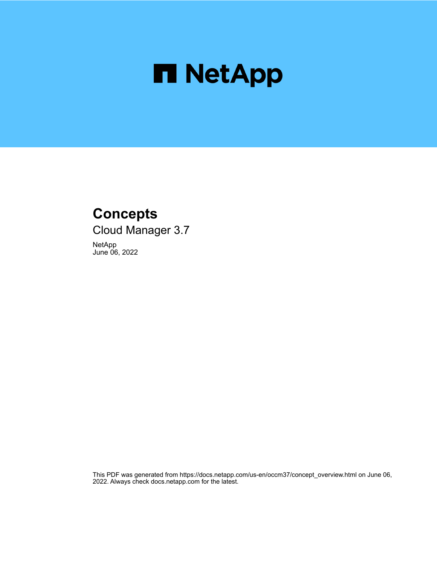

# **Concepts**

Cloud Manager 3.7

NetApp June 06, 2022

This PDF was generated from https://docs.netapp.com/us-en/occm37/concept\_overview.html on June 06, 2022. Always check docs.netapp.com for the latest.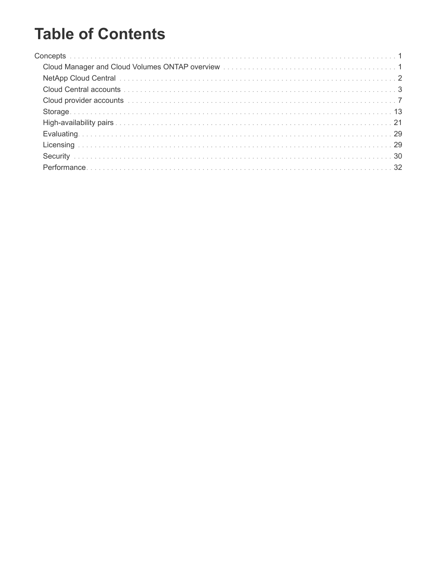# **Table of Contents**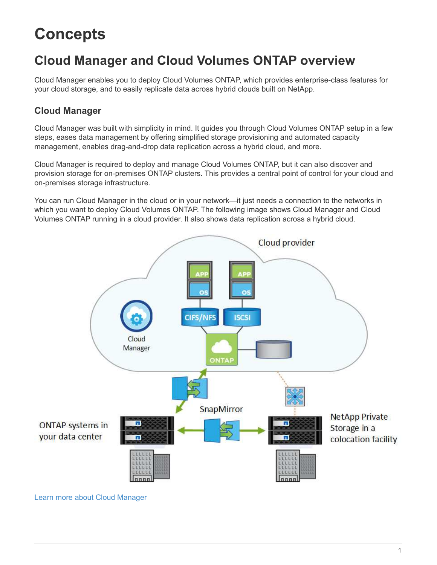# <span id="page-2-0"></span>**Concepts**

# <span id="page-2-1"></span>**Cloud Manager and Cloud Volumes ONTAP overview**

Cloud Manager enables you to deploy Cloud Volumes ONTAP, which provides enterprise-class features for your cloud storage, and to easily replicate data across hybrid clouds built on NetApp.

### **Cloud Manager**

Cloud Manager was built with simplicity in mind. It guides you through Cloud Volumes ONTAP setup in a few steps, eases data management by offering simplified storage provisioning and automated capacity management, enables drag-and-drop data replication across a hybrid cloud, and more.

Cloud Manager is required to deploy and manage Cloud Volumes ONTAP, but it can also discover and provision storage for on-premises ONTAP clusters. This provides a central point of control for your cloud and on-premises storage infrastructure.

You can run Cloud Manager in the cloud or in your network—it just needs a connection to the networks in which you want to deploy Cloud Volumes ONTAP. The following image shows Cloud Manager and Cloud Volumes ONTAP running in a cloud provider. It also shows data replication across a hybrid cloud.



[Learn more about Cloud Manager](https://www.netapp.com/us/products/data-infrastructure-management/cloud-manager.aspx)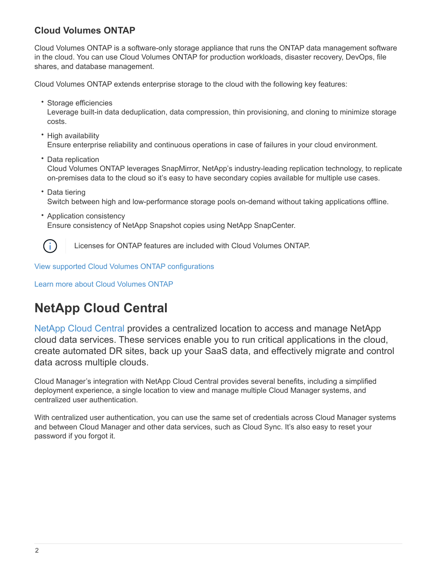### **Cloud Volumes ONTAP**

Cloud Volumes ONTAP is a software-only storage appliance that runs the ONTAP data management software in the cloud. You can use Cloud Volumes ONTAP for production workloads, disaster recovery, DevOps, file shares, and database management.

Cloud Volumes ONTAP extends enterprise storage to the cloud with the following key features:

• Storage efficiencies

Leverage built-in data deduplication, data compression, thin provisioning, and cloning to minimize storage costs.

- High availability Ensure enterprise reliability and continuous operations in case of failures in your cloud environment.
- Data replication Cloud Volumes ONTAP leverages SnapMirror, NetApp's industry-leading replication technology, to replicate on-premises data to the cloud so it's easy to have secondary copies available for multiple use cases.
- Data tiering Switch between high and low-performance storage pools on-demand without taking applications offline.
- Application consistency Ensure consistency of NetApp Snapshot copies using NetApp SnapCenter.



Licenses for ONTAP features are included with Cloud Volumes ONTAP.

[View supported Cloud Volumes ONTAP configurations](https://docs.netapp.com/us-en/cloud-volumes-ontap/index.html)

[Learn more about Cloud Volumes ONTAP](https://cloud.netapp.com/ontap-cloud)

# <span id="page-3-0"></span>**NetApp Cloud Central**

[NetApp Cloud Central](https://cloud.netapp.com) provides a centralized location to access and manage NetApp cloud data services. These services enable you to run critical applications in the cloud, create automated DR sites, back up your SaaS data, and effectively migrate and control data across multiple clouds.

Cloud Manager's integration with NetApp Cloud Central provides several benefits, including a simplified deployment experience, a single location to view and manage multiple Cloud Manager systems, and centralized user authentication.

With centralized user authentication, you can use the same set of credentials across Cloud Manager systems and between Cloud Manager and other data services, such as Cloud Sync. It's also easy to reset your password if you forgot it.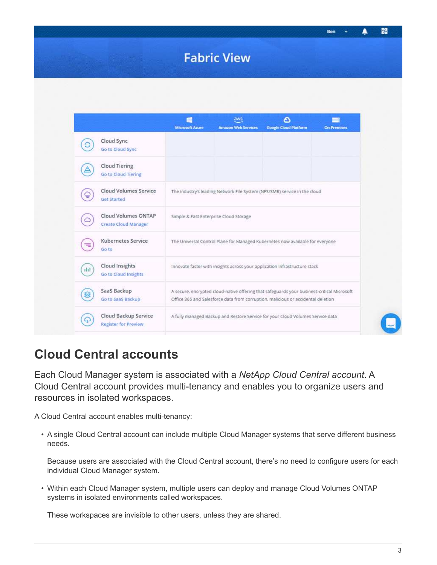# **Fabric View**

|                                                     | 49<br><b>Microsoft Azure</b>                                                                                                                                                   | aws<br><b>Amazon Web Services</b> | Θ<br><b>Google Cloud Platform</b>                                              | <b>On-Premises</b> |
|-----------------------------------------------------|--------------------------------------------------------------------------------------------------------------------------------------------------------------------------------|-----------------------------------|--------------------------------------------------------------------------------|--------------------|
| Cloud Sync<br>Go to Cloud Sync                      |                                                                                                                                                                                |                                   |                                                                                |                    |
| Cloud Tiering<br><b>Go to Cloud Tiering</b>         |                                                                                                                                                                                |                                   |                                                                                |                    |
| <b>Cloud Volumes Service</b><br><b>Get Started</b>  |                                                                                                                                                                                |                                   | The industry's leading Network File System (NFS/SMB) service in the cloud      |                    |
| Cloud Volumes ONTAP<br><b>Create Cloud Manager</b>  | Simple & Fast Enterprise Cloud Storage                                                                                                                                         |                                   |                                                                                |                    |
| <b>Kubernetes Service</b><br>Go to                  |                                                                                                                                                                                |                                   | The Universal Control Plane for Managed Kubernetes now available for everyone  |                    |
| Cloud Insights<br>ilit.<br>Go to Cloud Insights     | Innovate faster with insights across your application infrastructure stack                                                                                                     |                                   |                                                                                |                    |
| SaaS Backup<br>Go to SaaS Backup                    | A secure, encrypted cloud-native offering that safeguards your business-critical Microsoft<br>Office 365 and Salesforce data from corruption, malicious or accidental deletion |                                   |                                                                                |                    |
| Cloud Backup Service<br><b>Register for Preview</b> |                                                                                                                                                                                |                                   | A fully managed Backup and Restore Service for your Cloud Volumes Service data |                    |

## <span id="page-4-0"></span>**Cloud Central accounts**

Each Cloud Manager system is associated with a *NetApp Cloud Central account*. A Cloud Central account provides multi-tenancy and enables you to organize users and resources in isolated workspaces.

A Cloud Central account enables multi-tenancy:

• A single Cloud Central account can include multiple Cloud Manager systems that serve different business needs.

Because users are associated with the Cloud Central account, there's no need to configure users for each individual Cloud Manager system.

• Within each Cloud Manager system, multiple users can deploy and manage Cloud Volumes ONTAP systems in isolated environments called workspaces.

These workspaces are invisible to other users, unless they are shared.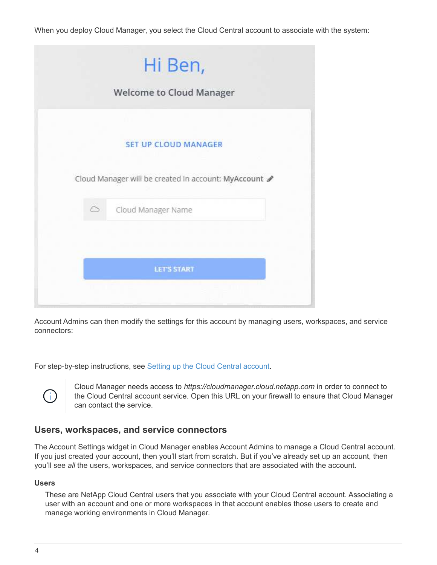When you deploy Cloud Manager, you select the Cloud Central account to associate with the system:

|   | Hi Ben,                                             |
|---|-----------------------------------------------------|
|   | <b>Welcome to Cloud Manager</b>                     |
|   |                                                     |
|   | <b>SET UP CLOUD MANAGER</b>                         |
|   | Cloud Manager will be created in account: MyAccount |
| ◇ | Cloud Manager Name                                  |
|   |                                                     |
|   | <b>LET'S START</b>                                  |
|   |                                                     |

Account Admins can then modify the settings for this account by managing users, workspaces, and service connectors:

For step-by-step instructions, see [Setting up the Cloud Central account.](https://docs.netapp.com/us-en/occm37/task_setting_up_cloud_central_accounts.html)



Cloud Manager needs access to *https://cloudmanager.cloud.netapp.com* in order to connect to the Cloud Central account service. Open this URL on your firewall to ensure that Cloud Manager can contact the service.

#### **Users, workspaces, and service connectors**

The Account Settings widget in Cloud Manager enables Account Admins to manage a Cloud Central account. If you just created your account, then you'll start from scratch. But if you've already set up an account, then you'll see *all* the users, workspaces, and service connectors that are associated with the account.

#### **Users**

These are NetApp Cloud Central users that you associate with your Cloud Central account. Associating a user with an account and one or more workspaces in that account enables those users to create and manage working environments in Cloud Manager.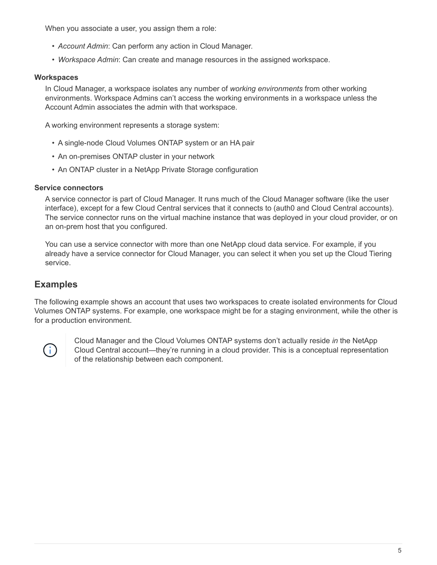When you associate a user, you assign them a role:

- *Account Admin*: Can perform any action in Cloud Manager.
- *Workspace Admin*: Can create and manage resources in the assigned workspace.

#### **Workspaces**

In Cloud Manager, a workspace isolates any number of *working environments* from other working environments. Workspace Admins can't access the working environments in a workspace unless the Account Admin associates the admin with that workspace.

A working environment represents a storage system:

- A single-node Cloud Volumes ONTAP system or an HA pair
- An on-premises ONTAP cluster in your network
- An ONTAP cluster in a NetApp Private Storage configuration

#### **Service connectors**

A service connector is part of Cloud Manager. It runs much of the Cloud Manager software (like the user interface), except for a few Cloud Central services that it connects to (auth0 and Cloud Central accounts). The service connector runs on the virtual machine instance that was deployed in your cloud provider, or on an on-prem host that you configured.

You can use a service connector with more than one NetApp cloud data service. For example, if you already have a service connector for Cloud Manager, you can select it when you set up the Cloud Tiering service.

### **Examples**

The following example shows an account that uses two workspaces to create isolated environments for Cloud Volumes ONTAP systems. For example, one workspace might be for a staging environment, while the other is for a production environment.



Cloud Manager and the Cloud Volumes ONTAP systems don't actually reside *in* the NetApp Cloud Central account—they're running in a cloud provider. This is a conceptual representation of the relationship between each component.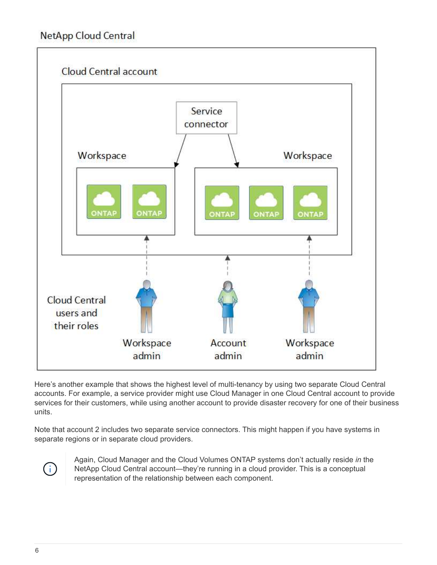### **NetApp Cloud Central**



Here's another example that shows the highest level of multi-tenancy by using two separate Cloud Central accounts. For example, a service provider might use Cloud Manager in one Cloud Central account to provide services for their customers, while using another account to provide disaster recovery for one of their business units.

Note that account 2 includes two separate service connectors. This might happen if you have systems in separate regions or in separate cloud providers.



Again, Cloud Manager and the Cloud Volumes ONTAP systems don't actually reside *in* the NetApp Cloud Central account—they're running in a cloud provider. This is a conceptual representation of the relationship between each component.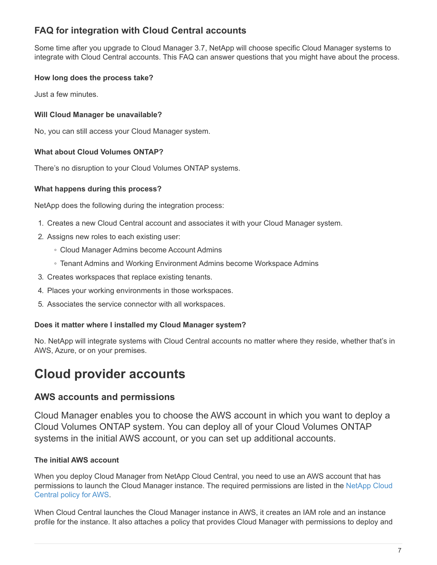### **FAQ for integration with Cloud Central accounts**

Some time after you upgrade to Cloud Manager 3.7, NetApp will choose specific Cloud Manager systems to integrate with Cloud Central accounts. This FAQ can answer questions that you might have about the process.

#### **How long does the process take?**

Just a few minutes.

#### **Will Cloud Manager be unavailable?**

No, you can still access your Cloud Manager system.

#### **What about Cloud Volumes ONTAP?**

There's no disruption to your Cloud Volumes ONTAP systems.

#### **What happens during this process?**

NetApp does the following during the integration process:

- 1. Creates a new Cloud Central account and associates it with your Cloud Manager system.
- 2. Assigns new roles to each existing user:
	- Cloud Manager Admins become Account Admins
	- Tenant Admins and Working Environment Admins become Workspace Admins
- 3. Creates workspaces that replace existing tenants.
- 4. Places your working environments in those workspaces.
- 5. Associates the service connector with all workspaces.

#### **Does it matter where I installed my Cloud Manager system?**

No. NetApp will integrate systems with Cloud Central accounts no matter where they reside, whether that's in AWS, Azure, or on your premises.

# <span id="page-8-0"></span>**Cloud provider accounts**

### **AWS accounts and permissions**

Cloud Manager enables you to choose the AWS account in which you want to deploy a Cloud Volumes ONTAP system. You can deploy all of your Cloud Volumes ONTAP systems in the initial AWS account, or you can set up additional accounts.

#### **The initial AWS account**

When you deploy Cloud Manager from NetApp Cloud Central, you need to use an AWS account that has permissions to launch the Cloud Manager instance. The required permissions are listed in the [NetApp Cloud](https://mysupport.netapp.com/cloudontap/iampolicies) [Central policy for AWS.](https://mysupport.netapp.com/cloudontap/iampolicies)

When Cloud Central launches the Cloud Manager instance in AWS, it creates an IAM role and an instance profile for the instance. It also attaches a policy that provides Cloud Manager with permissions to deploy and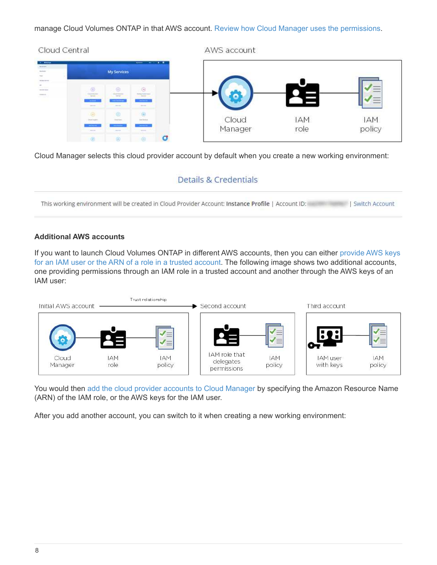manage Cloud Volumes ONTAP in that AWS account. [Review how Cloud Manager uses the permissions](https://docs.netapp.com/us-en/occm37/reference_permissions.html#what-cloud-manager-does-with-aws-permissions).



Cloud Manager selects this cloud provider account by default when you create a new working environment:

### Details & Credentials

This working environment will be created in Cloud Provider Account: Instance Profile | Account ID: | Switch Account

#### **Additional AWS accounts**

If you want to launch Cloud Volumes ONTAP in different AWS accounts, then you can either [provide AWS keys](https://docs.netapp.com/us-en/occm37/task_adding_aws_accounts.html) [for an IAM user or the ARN of a role in a trusted account](https://docs.netapp.com/us-en/occm37/task_adding_aws_accounts.html). The following image shows two additional accounts, one providing permissions through an IAM role in a trusted account and another through the AWS keys of an IAM user:



You would then [add the cloud provider accounts to Cloud Manager](https://docs.netapp.com/us-en/occm37/task_adding_aws_accounts.html#adding-aws-accounts-to-cloud-manager) by specifying the Amazon Resource Name (ARN) of the IAM role, or the AWS keys for the IAM user.

After you add another account, you can switch to it when creating a new working environment: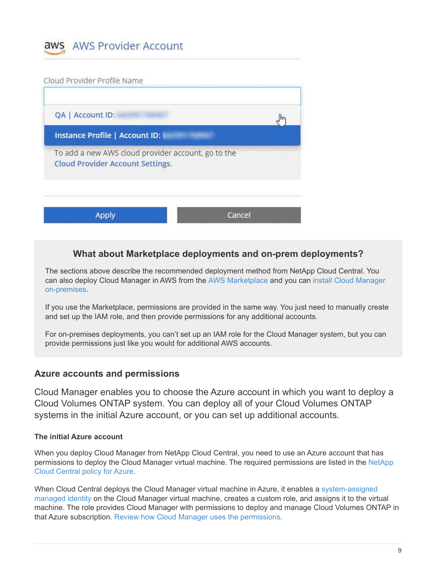

Cloud Provider Profile Name

| Instance Profile   Account ID:                                                         |  |
|----------------------------------------------------------------------------------------|--|
| To add a new AWS cloud provider account, go to the<br>Cloud Provider Account Settings. |  |
|                                                                                        |  |

### **What about Marketplace deployments and on-prem deployments?**

The sections above describe the recommended deployment method from NetApp Cloud Central. You can also deploy Cloud Manager in AWS from the [AWS Marketplace](https://docs.netapp.com/us-en/occm37/task_launching_aws_mktp.html) and you can [install Cloud Manager](https://docs.netapp.com/us-en/occm37/task_installing_linux.html) [on-premises](https://docs.netapp.com/us-en/occm37/task_installing_linux.html).

If you use the Marketplace, permissions are provided in the same way. You just need to manually create and set up the IAM role, and then provide permissions for any additional accounts.

For on-premises deployments, you can't set up an IAM role for the Cloud Manager system, but you can provide permissions just like you would for additional AWS accounts.

#### **Azure accounts and permissions**

Cloud Manager enables you to choose the Azure account in which you want to deploy a Cloud Volumes ONTAP system. You can deploy all of your Cloud Volumes ONTAP systems in the initial Azure account, or you can set up additional accounts.

#### **The initial Azure account**

When you deploy Cloud Manager from NetApp Cloud Central, you need to use an Azure account that has permissions to deploy the Cloud Manager virtual machine. The required permissions are listed in the [NetApp](https://mysupport.netapp.com/cloudontap/iampolicies) [Cloud Central policy for Azure](https://mysupport.netapp.com/cloudontap/iampolicies).

When Cloud Central deploys the Cloud Manager virtual machine in Azure, it enables a [system-assigned](https://docs.microsoft.com/en-us/azure/active-directory/managed-identities-azure-resources/overview) [managed identity](https://docs.microsoft.com/en-us/azure/active-directory/managed-identities-azure-resources/overview) on the Cloud Manager virtual machine, creates a custom role, and assigns it to the virtual machine. The role provides Cloud Manager with permissions to deploy and manage Cloud Volumes ONTAP in that Azure subscription. [Review how Cloud Manager uses the permissions.](https://docs.netapp.com/us-en/occm37/reference_permissions.html#what-cloud-manager-does-with-azure-permissions)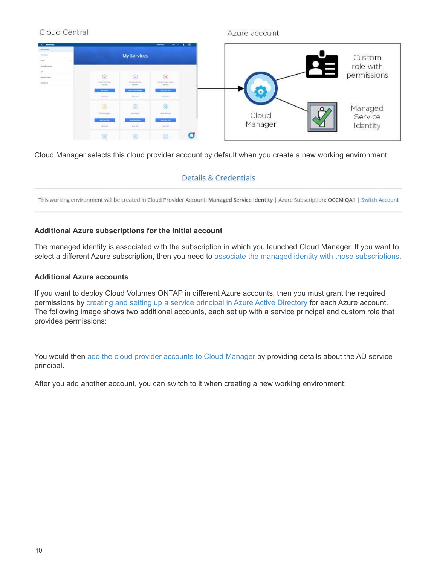#### Cloud Central Azure account **My Services** Custom role with. permissions Managed Cloud Service Manager Identity  $\circledA$  $\circledR$

Cloud Manager selects this cloud provider account by default when you create a new working environment:

### **Details & Credentials**

This working environment will be created in Cloud Provider Account: Managed Service Identity | Azure Subscription: OCCM QA1 | Switch Account

#### **Additional Azure subscriptions for the initial account**

The managed identity is associated with the subscription in which you launched Cloud Manager. If you want to select a different Azure subscription, then you need to [associate the managed identity with those subscriptions.](https://docs.netapp.com/us-en/occm37/task_adding_azure_accounts.html#associating-additional-azure-subscriptions-with-a-managed-identity)

#### **Additional Azure accounts**

If you want to deploy Cloud Volumes ONTAP in different Azure accounts, then you must grant the required permissions by [creating and setting up a service principal in Azure Active Directory](https://docs.netapp.com/us-en/occm37/task_adding_azure_accounts.html) for each Azure account. The following image shows two additional accounts, each set up with a service principal and custom role that provides permissions:

You would then [add the cloud provider accounts to Cloud Manager](https://docs.netapp.com/us-en/occm37/task_adding_azure_accounts.html#adding-azure-accounts-to-cloud-manager) by providing details about the AD service principal.

After you add another account, you can switch to it when creating a new working environment: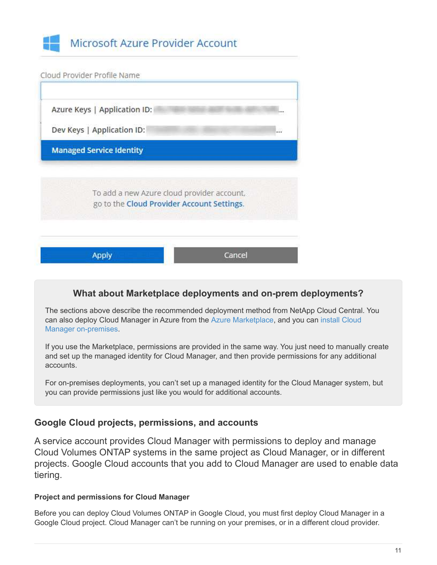



### **What about Marketplace deployments and on-prem deployments?**

The sections above describe the recommended deployment method from NetApp Cloud Central. You can also deploy Cloud Manager in Azure from the [Azure Marketplace](https://docs.netapp.com/us-en/occm37/task_launching_azure_mktp.html), and you can [install Cloud](https://docs.netapp.com/us-en/occm37/task_installing_linux.html) [Manager on-premises](https://docs.netapp.com/us-en/occm37/task_installing_linux.html).

If you use the Marketplace, permissions are provided in the same way. You just need to manually create and set up the managed identity for Cloud Manager, and then provide permissions for any additional accounts.

For on-premises deployments, you can't set up a managed identity for the Cloud Manager system, but you can provide permissions just like you would for additional accounts.

### **Google Cloud projects, permissions, and accounts**

A service account provides Cloud Manager with permissions to deploy and manage Cloud Volumes ONTAP systems in the same project as Cloud Manager, or in different projects. Google Cloud accounts that you add to Cloud Manager are used to enable data tiering.

#### **Project and permissions for Cloud Manager**

Before you can deploy Cloud Volumes ONTAP in Google Cloud, you must first deploy Cloud Manager in a Google Cloud project. Cloud Manager can't be running on your premises, or in a different cloud provider.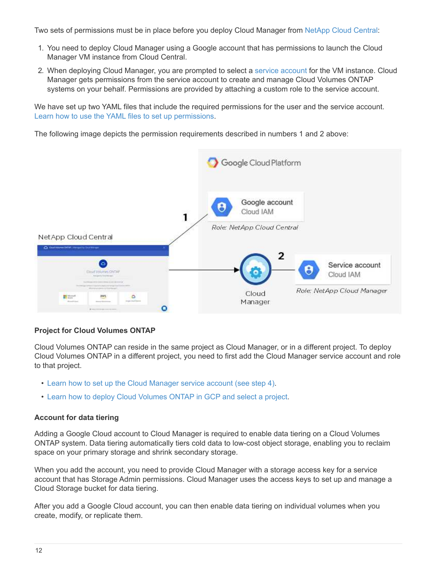Two sets of permissions must be in place before you deploy Cloud Manager from [NetApp Cloud Central](https://cloud.netapp.com):

- 1. You need to deploy Cloud Manager using a Google account that has permissions to launch the Cloud Manager VM instance from Cloud Central.
- 2. When deploying Cloud Manager, you are prompted to select a [service account](https://cloud.google.com/iam/docs/service-accounts) for the VM instance. Cloud Manager gets permissions from the service account to create and manage Cloud Volumes ONTAP systems on your behalf. Permissions are provided by attaching a custom role to the service account.

We have set up two YAML files that include the required permissions for the user and the service account. [Learn how to use the YAML files to set up permissions.](https://docs.netapp.com/us-en/occm37/task_getting_started_gcp.html)

The following image depicts the permission requirements described in numbers 1 and 2 above:



#### **Project for Cloud Volumes ONTAP**

Cloud Volumes ONTAP can reside in the same project as Cloud Manager, or in a different project. To deploy Cloud Volumes ONTAP in a different project, you need to first add the Cloud Manager service account and role to that project.

- [Learn how to set up the Cloud Manager service account \(see step 4\).](https://docs.netapp.com/us-en/occm37/task_getting_started_gcp.html#service-account)
- [Learn how to deploy Cloud Volumes ONTAP in GCP and select a project.](https://docs.netapp.com/us-en/occm37/task_deploying_gcp.html)

#### **Account for data tiering**

Adding a Google Cloud account to Cloud Manager is required to enable data tiering on a Cloud Volumes ONTAP system. Data tiering automatically tiers cold data to low-cost object storage, enabling you to reclaim space on your primary storage and shrink secondary storage.

When you add the account, you need to provide Cloud Manager with a storage access key for a service account that has Storage Admin permissions. Cloud Manager uses the access keys to set up and manage a Cloud Storage bucket for data tiering.

After you add a Google Cloud account, you can then enable data tiering on individual volumes when you create, modify, or replicate them.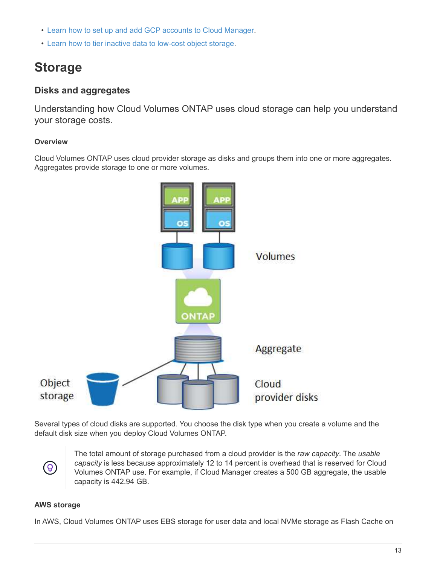- [Learn how to set up and add GCP accounts to Cloud Manager.](https://docs.netapp.com/us-en/occm37/task_adding_gcp_accounts.html)
- [Learn how to tier inactive data to low-cost object storage](https://docs.netapp.com/us-en/occm37/task_tiering.html).

# <span id="page-14-0"></span>**Storage**

### **Disks and aggregates**

Understanding how Cloud Volumes ONTAP uses cloud storage can help you understand your storage costs.

#### **Overview**

Cloud Volumes ONTAP uses cloud provider storage as disks and groups them into one or more aggregates. Aggregates provide storage to one or more volumes.



Several types of cloud disks are supported. You choose the disk type when you create a volume and the default disk size when you deploy Cloud Volumes ONTAP.



The total amount of storage purchased from a cloud provider is the *raw capacity*. The *usable capacity* is less because approximately 12 to 14 percent is overhead that is reserved for Cloud Volumes ONTAP use. For example, if Cloud Manager creates a 500 GB aggregate, the usable capacity is 442.94 GB.

#### **AWS storage**

In AWS, Cloud Volumes ONTAP uses EBS storage for user data and local NVMe storage as Flash Cache on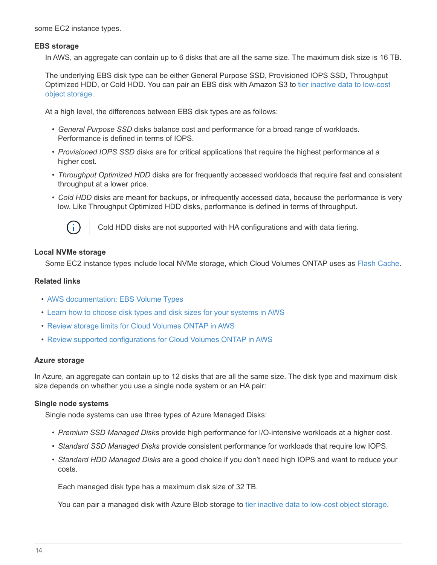some EC2 instance types.

#### **EBS storage**

In AWS, an aggregate can contain up to 6 disks that are all the same size. The maximum disk size is 16 TB.

The underlying EBS disk type can be either General Purpose SSD, Provisioned IOPS SSD, Throughput Optimized HDD, or Cold HDD. You can pair an EBS disk with Amazon S3 to [tier inactive data to low-cost](#page-16-0) [object storage](#page-16-0).

At a high level, the differences between EBS disk types are as follows:

- *General Purpose SSD* disks balance cost and performance for a broad range of workloads. Performance is defined in terms of IOPS.
- *Provisioned IOPS SSD* disks are for critical applications that require the highest performance at a higher cost.
- *Throughput Optimized HDD* disks are for frequently accessed workloads that require fast and consistent throughput at a lower price.
- *Cold HDD* disks are meant for backups, or infrequently accessed data, because the performance is very low. Like Throughput Optimized HDD disks, performance is defined in terms of throughput.



Cold HDD disks are not supported with HA configurations and with data tiering.

#### **Local NVMe storage**

Some EC2 instance types include local NVMe storage, which Cloud Volumes ONTAP uses as [Flash Cache.](https://docs.netapp.com/us-en/occm37/task_enabling_flash_cache.html)

#### **Related links**

- [AWS documentation: EBS Volume Types](http://docs.aws.amazon.com/AWSEC2/latest/UserGuide/EBSVolumeTypes.html)
- [Learn how to choose disk types and disk sizes for your systems in AWS](https://docs.netapp.com/us-en/occm37/task_planning_your_config.html#sizing-your-system-in-aws)
- [Review storage limits for Cloud Volumes ONTAP in AWS](https://docs.netapp.com/us-en/cloud-volumes-ontap/reference_limits_aws_97.html)
- [Review supported configurations for Cloud Volumes ONTAP in AWS](http://docs.netapp.com/us-en/cloud-volumes-ontap/reference_configs_aws_97.html)

#### **Azure storage**

In Azure, an aggregate can contain up to 12 disks that are all the same size. The disk type and maximum disk size depends on whether you use a single node system or an HA pair:

#### **Single node systems**

Single node systems can use three types of Azure Managed Disks:

- *Premium SSD Managed Disks* provide high performance for I/O-intensive workloads at a higher cost.
- *Standard SSD Managed Disks* provide consistent performance for workloads that require low IOPS.
- *Standard HDD Managed Disks* are a good choice if you don't need high IOPS and want to reduce your costs.

Each managed disk type has a maximum disk size of 32 TB.

You can pair a managed disk with Azure Blob storage to [tier inactive data to low-cost object storage](#page-16-0).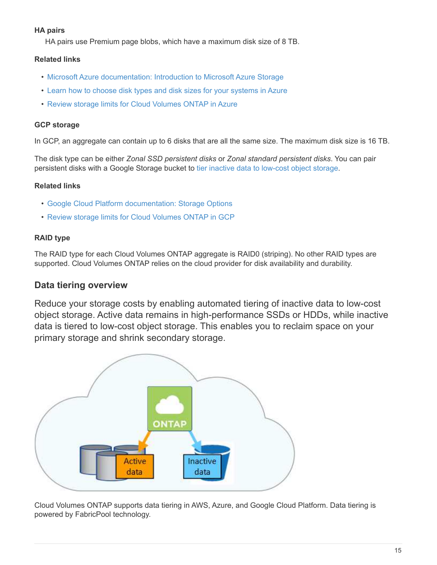#### **HA pairs**

HA pairs use Premium page blobs, which have a maximum disk size of 8 TB.

#### **Related links**

- [Microsoft Azure documentation: Introduction to Microsoft Azure Storage](https://azure.microsoft.com/documentation/articles/storage-introduction/)
- [Learn how to choose disk types and disk sizes for your systems in Azure](https://docs.netapp.com/us-en/occm37/task_planning_your_config.html#sizing-your-system-in-azure)
- [Review storage limits for Cloud Volumes ONTAP in Azure](https://docs.netapp.com/us-en/cloud-volumes-ontap/reference_limits_azure_97.html)

#### **GCP storage**

In GCP, an aggregate can contain up to 6 disks that are all the same size. The maximum disk size is 16 TB.

The disk type can be either *Zonal SSD persistent disks* or *Zonal standard persistent disks*. You can pair persistent disks with a Google Storage bucket to [tier inactive data to low-cost object storage.](#page-16-0)

#### **Related links**

- [Google Cloud Platform documentation: Storage Options](https://cloud.google.com/compute/docs/disks/)
- [Review storage limits for Cloud Volumes ONTAP in GCP](https://docs.netapp.com/us-en/cloud-volumes-ontap/reference_limits_gcp_97.html)

#### **RAID type**

The RAID type for each Cloud Volumes ONTAP aggregate is RAID0 (striping). No other RAID types are supported. Cloud Volumes ONTAP relies on the cloud provider for disk availability and durability.

### <span id="page-16-0"></span>**Data tiering overview**

Reduce your storage costs by enabling automated tiering of inactive data to low-cost object storage. Active data remains in high-performance SSDs or HDDs, while inactive data is tiered to low-cost object storage. This enables you to reclaim space on your primary storage and shrink secondary storage.



Cloud Volumes ONTAP supports data tiering in AWS, Azure, and Google Cloud Platform. Data tiering is powered by FabricPool technology.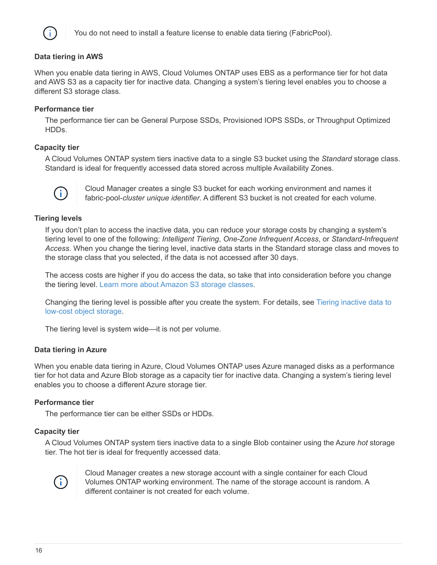

You do not need to install a feature license to enable data tiering (FabricPool).

#### **Data tiering in AWS**

When you enable data tiering in AWS, Cloud Volumes ONTAP uses EBS as a performance tier for hot data and AWS S3 as a capacity tier for inactive data. Changing a system's tiering level enables you to choose a different S3 storage class.

#### **Performance tier**

The performance tier can be General Purpose SSDs, Provisioned IOPS SSDs, or Throughput Optimized HDDs.

#### **Capacity tier**

A Cloud Volumes ONTAP system tiers inactive data to a single S3 bucket using the *Standard* storage class. Standard is ideal for frequently accessed data stored across multiple Availability Zones.



Cloud Manager creates a single S3 bucket for each working environment and names it fabric-pool-*cluster unique identifier*. A different S3 bucket is not created for each volume.

#### **Tiering levels**

If you don't plan to access the inactive data, you can reduce your storage costs by changing a system's tiering level to one of the following: *Intelligent Tiering*, *One-Zone Infrequent Access*, or *Standard-Infrequent Access*. When you change the tiering level, inactive data starts in the Standard storage class and moves to the storage class that you selected, if the data is not accessed after 30 days.

The access costs are higher if you do access the data, so take that into consideration before you change the tiering level. [Learn more about Amazon S3 storage classes.](https://aws.amazon.com/s3/storage-classes)

Changing the tiering level is possible after you create the system. For details, see [Tiering inactive data to](https://docs.netapp.com/us-en/occm37/task_tiering.html) [low-cost object storage.](https://docs.netapp.com/us-en/occm37/task_tiering.html)

The tiering level is system wide—it is not per volume.

#### **Data tiering in Azure**

When you enable data tiering in Azure, Cloud Volumes ONTAP uses Azure managed disks as a performance tier for hot data and Azure Blob storage as a capacity tier for inactive data. Changing a system's tiering level enables you to choose a different Azure storage tier.

#### **Performance tier**

The performance tier can be either SSDs or HDDs.

#### **Capacity tier**

A Cloud Volumes ONTAP system tiers inactive data to a single Blob container using the Azure *hot* storage tier. The hot tier is ideal for frequently accessed data.



Cloud Manager creates a new storage account with a single container for each Cloud Volumes ONTAP working environment. The name of the storage account is random. A different container is not created for each volume.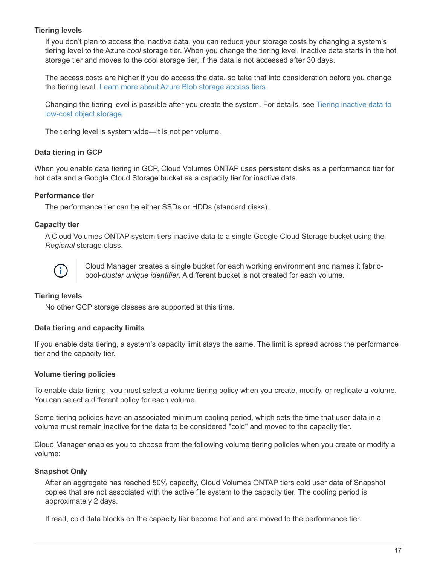#### **Tiering levels**

If you don't plan to access the inactive data, you can reduce your storage costs by changing a system's tiering level to the Azure *cool* storage tier. When you change the tiering level, inactive data starts in the hot storage tier and moves to the cool storage tier, if the data is not accessed after 30 days.

The access costs are higher if you do access the data, so take that into consideration before you change the tiering level. [Learn more about Azure Blob storage access tiers](https://docs.microsoft.com/en-us/azure/storage/blobs/storage-blob-storage-tiers).

Changing the tiering level is possible after you create the system. For details, see [Tiering inactive data to](https://docs.netapp.com/us-en/occm37/task_tiering.html) [low-cost object storage.](https://docs.netapp.com/us-en/occm37/task_tiering.html)

The tiering level is system wide—it is not per volume.

#### **Data tiering in GCP**

When you enable data tiering in GCP, Cloud Volumes ONTAP uses persistent disks as a performance tier for hot data and a Google Cloud Storage bucket as a capacity tier for inactive data.

#### **Performance tier**

The performance tier can be either SSDs or HDDs (standard disks).

#### **Capacity tier**

A Cloud Volumes ONTAP system tiers inactive data to a single Google Cloud Storage bucket using the *Regional* storage class.



Cloud Manager creates a single bucket for each working environment and names it fabricpool-*cluster unique identifier*. A different bucket is not created for each volume.

#### **Tiering levels**

No other GCP storage classes are supported at this time.

#### **Data tiering and capacity limits**

If you enable data tiering, a system's capacity limit stays the same. The limit is spread across the performance tier and the capacity tier.

#### **Volume tiering policies**

To enable data tiering, you must select a volume tiering policy when you create, modify, or replicate a volume. You can select a different policy for each volume.

Some tiering policies have an associated minimum cooling period, which sets the time that user data in a volume must remain inactive for the data to be considered "cold" and moved to the capacity tier.

Cloud Manager enables you to choose from the following volume tiering policies when you create or modify a volume:

#### **Snapshot Only**

After an aggregate has reached 50% capacity, Cloud Volumes ONTAP tiers cold user data of Snapshot copies that are not associated with the active file system to the capacity tier. The cooling period is approximately 2 days.

If read, cold data blocks on the capacity tier become hot and are moved to the performance tier.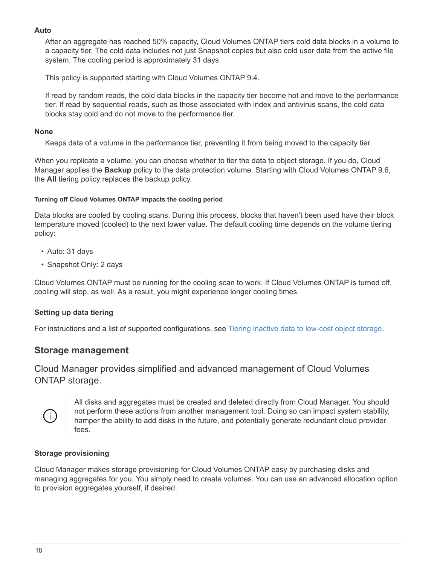#### **Auto**

After an aggregate has reached 50% capacity, Cloud Volumes ONTAP tiers cold data blocks in a volume to a capacity tier. The cold data includes not just Snapshot copies but also cold user data from the active file system. The cooling period is approximately 31 days.

This policy is supported starting with Cloud Volumes ONTAP 9.4.

If read by random reads, the cold data blocks in the capacity tier become hot and move to the performance tier. If read by sequential reads, such as those associated with index and antivirus scans, the cold data blocks stay cold and do not move to the performance tier.

#### **None**

Keeps data of a volume in the performance tier, preventing it from being moved to the capacity tier.

When you replicate a volume, you can choose whether to tier the data to object storage. If you do, Cloud Manager applies the **Backup** policy to the data protection volume. Starting with Cloud Volumes ONTAP 9.6, the **All** tiering policy replaces the backup policy.

#### **Turning off Cloud Volumes ONTAP impacts the cooling period**

Data blocks are cooled by cooling scans. During this process, blocks that haven't been used have their block temperature moved (cooled) to the next lower value. The default cooling time depends on the volume tiering policy:

- Auto: 31 days
- Snapshot Only: 2 days

Cloud Volumes ONTAP must be running for the cooling scan to work. If Cloud Volumes ONTAP is turned off, cooling will stop, as well. As a result, you might experience longer cooling times.

#### **Setting up data tiering**

For instructions and a list of supported configurations, see [Tiering inactive data to low-cost object storage](https://docs.netapp.com/us-en/occm37/task_tiering.html).

### **Storage management**

Cloud Manager provides simplified and advanced management of Cloud Volumes ONTAP storage.



All disks and aggregates must be created and deleted directly from Cloud Manager. You should not perform these actions from another management tool. Doing so can impact system stability, hamper the ability to add disks in the future, and potentially generate redundant cloud provider fees.

#### **Storage provisioning**

Cloud Manager makes storage provisioning for Cloud Volumes ONTAP easy by purchasing disks and managing aggregates for you. You simply need to create volumes. You can use an advanced allocation option to provision aggregates yourself, if desired.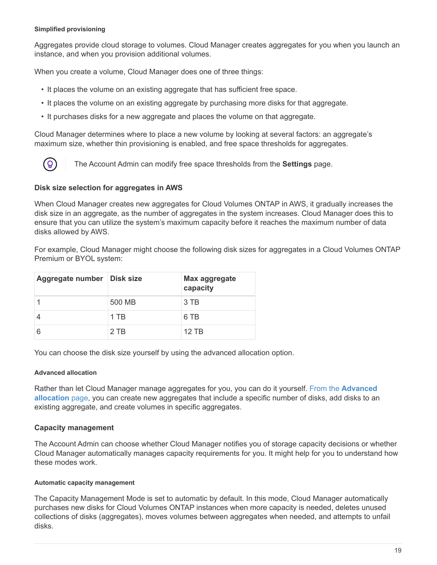#### **Simplified provisioning**

Aggregates provide cloud storage to volumes. Cloud Manager creates aggregates for you when you launch an instance, and when you provision additional volumes.

When you create a volume, Cloud Manager does one of three things:

- It places the volume on an existing aggregate that has sufficient free space.
- It places the volume on an existing aggregate by purchasing more disks for that aggregate.
- It purchases disks for a new aggregate and places the volume on that aggregate.

Cloud Manager determines where to place a new volume by looking at several factors: an aggregate's maximum size, whether thin provisioning is enabled, and free space thresholds for aggregates.



The Account Admin can modify free space thresholds from the **Settings** page.

#### **Disk size selection for aggregates in AWS**

When Cloud Manager creates new aggregates for Cloud Volumes ONTAP in AWS, it gradually increases the disk size in an aggregate, as the number of aggregates in the system increases. Cloud Manager does this to ensure that you can utilize the system's maximum capacity before it reaches the maximum number of data disks allowed by AWS.

For example, Cloud Manager might choose the following disk sizes for aggregates in a Cloud Volumes ONTAP Premium or BYOL system:

| Aggregate number   Disk size |        | <b>Max aggregate</b><br>capacity |
|------------------------------|--------|----------------------------------|
|                              | 500 MB | 3 TB                             |
|                              | 1 TB   | 6 TB                             |
|                              | $2$ TB | 12 TB                            |

You can choose the disk size yourself by using the advanced allocation option.

#### **Advanced allocation**

Rather than let Cloud Manager manage aggregates for you, you can do it yourself. [From the](https://docs.netapp.com/us-en/occm37/task_provisioning_storage.html#creating-aggregates) **[Advanced](https://docs.netapp.com/us-en/occm37/task_provisioning_storage.html#creating-aggregates) [allocation](https://docs.netapp.com/us-en/occm37/task_provisioning_storage.html#creating-aggregates)** [page](https://docs.netapp.com/us-en/occm37/task_provisioning_storage.html#creating-aggregates), you can create new aggregates that include a specific number of disks, add disks to an existing aggregate, and create volumes in specific aggregates.

#### **Capacity management**

The Account Admin can choose whether Cloud Manager notifies you of storage capacity decisions or whether Cloud Manager automatically manages capacity requirements for you. It might help for you to understand how these modes work.

#### **Automatic capacity management**

The Capacity Management Mode is set to automatic by default. In this mode, Cloud Manager automatically purchases new disks for Cloud Volumes ONTAP instances when more capacity is needed, deletes unused collections of disks (aggregates), moves volumes between aggregates when needed, and attempts to unfail disks.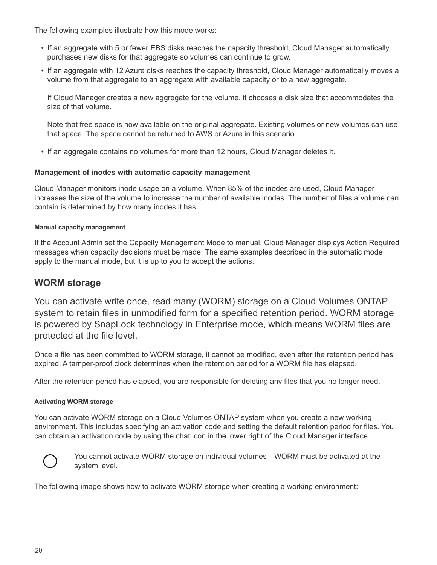The following examples illustrate how this mode works:

- If an aggregate with 5 or fewer EBS disks reaches the capacity threshold, Cloud Manager automatically purchases new disks for that aggregate so volumes can continue to grow.
- If an aggregate with 12 Azure disks reaches the capacity threshold, Cloud Manager automatically moves a volume from that aggregate to an aggregate with available capacity or to a new aggregate.

If Cloud Manager creates a new aggregate for the volume, it chooses a disk size that accommodates the size of that volume.

Note that free space is now available on the original aggregate. Existing volumes or new volumes can use that space. The space cannot be returned to AWS or Azure in this scenario.

• If an aggregate contains no volumes for more than 12 hours, Cloud Manager deletes it.

#### **Management of inodes with automatic capacity management**

Cloud Manager monitors inode usage on a volume. When 85% of the inodes are used, Cloud Manager increases the size of the volume to increase the number of available inodes. The number of files a volume can contain is determined by how many inodes it has.

#### **Manual capacity management**

If the Account Admin set the Capacity Management Mode to manual, Cloud Manager displays Action Required messages when capacity decisions must be made. The same examples described in the automatic mode apply to the manual mode, but it is up to you to accept the actions.

#### **WORM storage**

You can activate write once, read many (WORM) storage on a Cloud Volumes ONTAP system to retain files in unmodified form for a specified retention period. WORM storage is powered by SnapLock technology in Enterprise mode, which means WORM files are protected at the file level.

Once a file has been committed to WORM storage, it cannot be modified, even after the retention period has expired. A tamper-proof clock determines when the retention period for a WORM file has elapsed.

After the retention period has elapsed, you are responsible for deleting any files that you no longer need.

#### **Activating WORM storage**

You can activate WORM storage on a Cloud Volumes ONTAP system when you create a new working environment. This includes specifying an activation code and setting the default retention period for files. You can obtain an activation code by using the chat icon in the lower right of the Cloud Manager interface.



You cannot activate WORM storage on individual volumes—WORM must be activated at the system level.

The following image shows how to activate WORM storage when creating a working environment: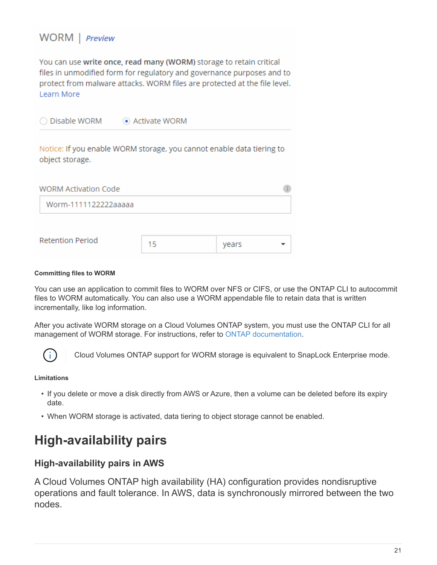### WORM | Preview

You can use write once, read many (WORM) storage to retain critical files in unmodified form for regulatory and governance purposes and to protect from malware attacks. WORM files are protected at the file level. Learn More

◯ Disable WORM Activate WORM

Notice: If you enable WORM storage, you cannot enable data tiering to object storage.

| <b>WORM Activation Code</b> |    |       |  |
|-----------------------------|----|-------|--|
| Worm-1111122222aaaaa        |    |       |  |
|                             |    |       |  |
| <b>Retention Period</b>     | 15 | years |  |

#### **Committing files to WORM**

You can use an application to commit files to WORM over NFS or CIFS, or use the ONTAP CLI to autocommit files to WORM automatically. You can also use a WORM appendable file to retain data that is written incrementally, like log information.

After you activate WORM storage on a Cloud Volumes ONTAP system, you must use the ONTAP CLI for all management of WORM storage. For instructions, refer to [ONTAP documentation.](http://docs.netapp.com/ontap-9/topic/com.netapp.doc.pow-arch-con/home.html)



Cloud Volumes ONTAP support for WORM storage is equivalent to SnapLock Enterprise mode.

#### **Limitations**

- If you delete or move a disk directly from AWS or Azure, then a volume can be deleted before its expiry date.
- When WORM storage is activated, data tiering to object storage cannot be enabled.

## <span id="page-22-0"></span>**High-availability pairs**

### **High-availability pairs in AWS**

A Cloud Volumes ONTAP high availability (HA) configuration provides nondisruptive operations and fault tolerance. In AWS, data is synchronously mirrored between the two nodes.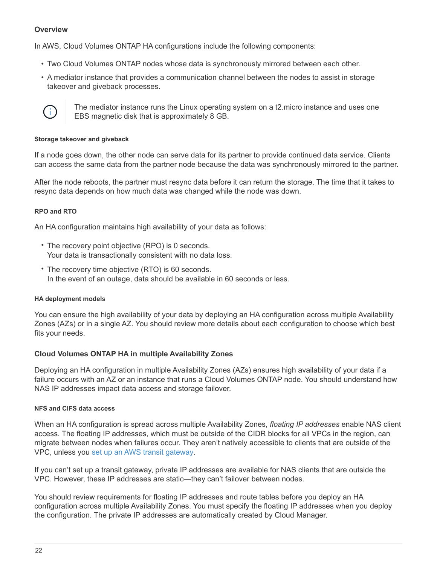#### **Overview**

In AWS, Cloud Volumes ONTAP HA configurations include the following components:

- Two Cloud Volumes ONTAP nodes whose data is synchronously mirrored between each other.
- A mediator instance that provides a communication channel between the nodes to assist in storage takeover and giveback processes.



The mediator instance runs the Linux operating system on a t2.micro instance and uses one EBS magnetic disk that is approximately 8 GB.

#### **Storage takeover and giveback**

If a node goes down, the other node can serve data for its partner to provide continued data service. Clients can access the same data from the partner node because the data was synchronously mirrored to the partner.

After the node reboots, the partner must resync data before it can return the storage. The time that it takes to resync data depends on how much data was changed while the node was down.

#### **RPO and RTO**

An HA configuration maintains high availability of your data as follows:

- The recovery point objective (RPO) is 0 seconds. Your data is transactionally consistent with no data loss.
- The recovery time objective (RTO) is 60 seconds. In the event of an outage, data should be available in 60 seconds or less.

#### **HA deployment models**

You can ensure the high availability of your data by deploying an HA configuration across multiple Availability Zones (AZs) or in a single AZ. You should review more details about each configuration to choose which best fits your needs.

#### **Cloud Volumes ONTAP HA in multiple Availability Zones**

Deploying an HA configuration in multiple Availability Zones (AZs) ensures high availability of your data if a failure occurs with an AZ or an instance that runs a Cloud Volumes ONTAP node. You should understand how NAS IP addresses impact data access and storage failover.

#### **NFS and CIFS data access**

When an HA configuration is spread across multiple Availability Zones, *floating IP addresses* enable NAS client access. The floating IP addresses, which must be outside of the CIDR blocks for all VPCs in the region, can migrate between nodes when failures occur. They aren't natively accessible to clients that are outside of the VPC, unless you [set up an AWS transit gateway](https://docs.netapp.com/us-en/occm37/task_setting_up_transit_gateway.html).

If you can't set up a transit gateway, private IP addresses are available for NAS clients that are outside the VPC. However, these IP addresses are static—they can't failover between nodes.

You should review requirements for floating IP addresses and route tables before you deploy an HA configuration across multiple Availability Zones. You must specify the floating IP addresses when you deploy the configuration. The private IP addresses are automatically created by Cloud Manager.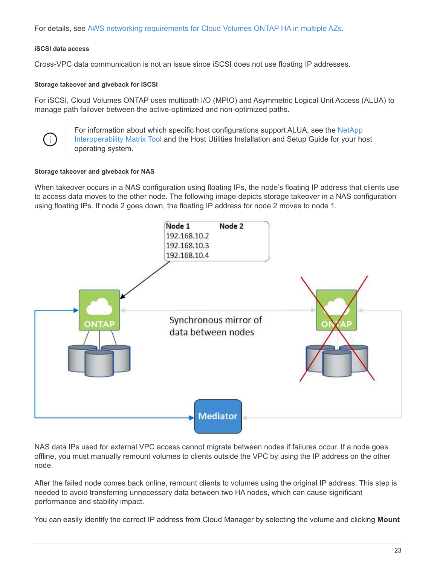For details, see [AWS networking requirements for Cloud Volumes ONTAP HA in multiple AZs.](https://docs.netapp.com/us-en/occm37/reference_networking_aws.html#aws-networking-requirements-for-cloud-volumes-ontap-ha-in-multiple-azs)

#### **iSCSI data access**

Cross-VPC data communication is not an issue since iSCSI does not use floating IP addresses.

#### **Storage takeover and giveback for iSCSI**

For iSCSI, Cloud Volumes ONTAP uses multipath I/O (MPIO) and Asymmetric Logical Unit Access (ALUA) to manage path failover between the active-optimized and non-optimized paths.



For information about which specific host configurations support ALUA, see the [NetApp](http://mysupport.netapp.com/matrix) [Interoperability Matrix Tool](http://mysupport.netapp.com/matrix) and the Host Utilities Installation and Setup Guide for your host operating system.

#### **Storage takeover and giveback for NAS**

When takeover occurs in a NAS configuration using floating IPs, the node's floating IP address that clients use to access data moves to the other node. The following image depicts storage takeover in a NAS configuration using floating IPs. If node 2 goes down, the floating IP address for node 2 moves to node 1.



NAS data IPs used for external VPC access cannot migrate between nodes if failures occur. If a node goes offline, you must manually remount volumes to clients outside the VPC by using the IP address on the other node.

After the failed node comes back online, remount clients to volumes using the original IP address. This step is needed to avoid transferring unnecessary data between two HA nodes, which can cause significant performance and stability impact.

You can easily identify the correct IP address from Cloud Manager by selecting the volume and clicking **Mount**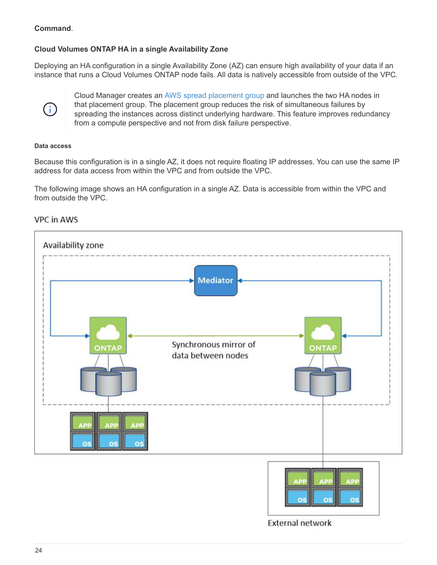#### **Command**.

#### **Cloud Volumes ONTAP HA in a single Availability Zone**

Deploying an HA configuration in a single Availability Zone (AZ) can ensure high availability of your data if an instance that runs a Cloud Volumes ONTAP node fails. All data is natively accessible from outside of the VPC.



Cloud Manager creates an [AWS spread placement group](https://docs.aws.amazon.com/AWSEC2/latest/UserGuide/placement-groups.html) and launches the two HA nodes in that placement group. The placement group reduces the risk of simultaneous failures by spreading the instances across distinct underlying hardware. This feature improves redundancy from a compute perspective and not from disk failure perspective.

#### **Data access**

Because this configuration is in a single AZ, it does not require floating IP addresses. You can use the same IP address for data access from within the VPC and from outside the VPC.

The following image shows an HA configuration in a single AZ. Data is accessible from within the VPC and from outside the VPC.





**External network**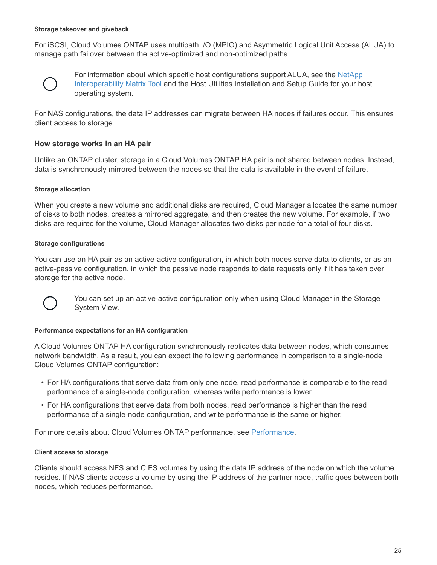#### **Storage takeover and giveback**

For iSCSI, Cloud Volumes ONTAP uses multipath I/O (MPIO) and Asymmetric Logical Unit Access (ALUA) to manage path failover between the active-optimized and non-optimized paths.



For information about which specific host configurations support ALUA, see the [NetApp](http://mysupport.netapp.com/matrix) [Interoperability Matrix Tool](http://mysupport.netapp.com/matrix) and the Host Utilities Installation and Setup Guide for your host operating system.

For NAS configurations, the data IP addresses can migrate between HA nodes if failures occur. This ensures client access to storage.

#### **How storage works in an HA pair**

Unlike an ONTAP cluster, storage in a Cloud Volumes ONTAP HA pair is not shared between nodes. Instead, data is synchronously mirrored between the nodes so that the data is available in the event of failure.

#### **Storage allocation**

When you create a new volume and additional disks are required, Cloud Manager allocates the same number of disks to both nodes, creates a mirrored aggregate, and then creates the new volume. For example, if two disks are required for the volume, Cloud Manager allocates two disks per node for a total of four disks.

#### **Storage configurations**

You can use an HA pair as an active-active configuration, in which both nodes serve data to clients, or as an active-passive configuration, in which the passive node responds to data requests only if it has taken over storage for the active node.



You can set up an active-active configuration only when using Cloud Manager in the Storage System View.

#### **Performance expectations for an HA configuration**

A Cloud Volumes ONTAP HA configuration synchronously replicates data between nodes, which consumes network bandwidth. As a result, you can expect the following performance in comparison to a single-node Cloud Volumes ONTAP configuration:

- For HA configurations that serve data from only one node, read performance is comparable to the read performance of a single-node configuration, whereas write performance is lower.
- For HA configurations that serve data from both nodes, read performance is higher than the read performance of a single-node configuration, and write performance is the same or higher.

For more details about Cloud Volumes ONTAP performance, see [Performance](#page-33-0).

#### **Client access to storage**

Clients should access NFS and CIFS volumes by using the data IP address of the node on which the volume resides. If NAS clients access a volume by using the IP address of the partner node, traffic goes between both nodes, which reduces performance.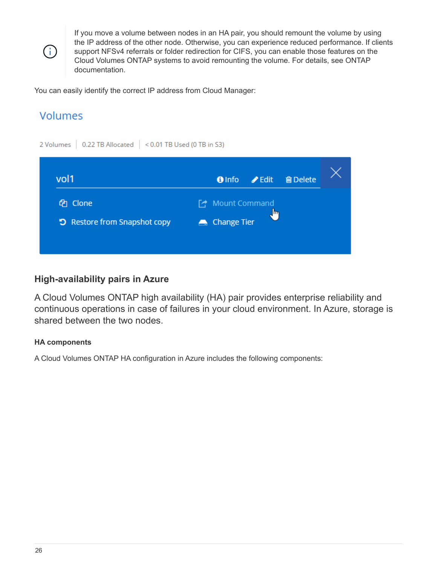$(\dagger)$ 

If you move a volume between nodes in an HA pair, you should remount the volume by using the IP address of the other node. Otherwise, you can experience reduced performance. If clients support NFSv4 referrals or folder redirection for CIFS, you can enable those features on the Cloud Volumes ONTAP systems to avoid remounting the volume. For details, see ONTAP documentation.

You can easily identify the correct IP address from Cloud Manager:

# **Volumes** 2 Volumes | 0.22 TB Allocated | < 0.01 TB Used (0 TB in S3) vol1 **O** Info  $\blacktriangleright$  Edit **俞 Delete** ed Clone □ Mount Command D Restore from Snapshot copy Change Tier

### **High-availability pairs in Azure**

A Cloud Volumes ONTAP high availability (HA) pair provides enterprise reliability and continuous operations in case of failures in your cloud environment. In Azure, storage is shared between the two nodes.

#### **HA components**

A Cloud Volumes ONTAP HA configuration in Azure includes the following components: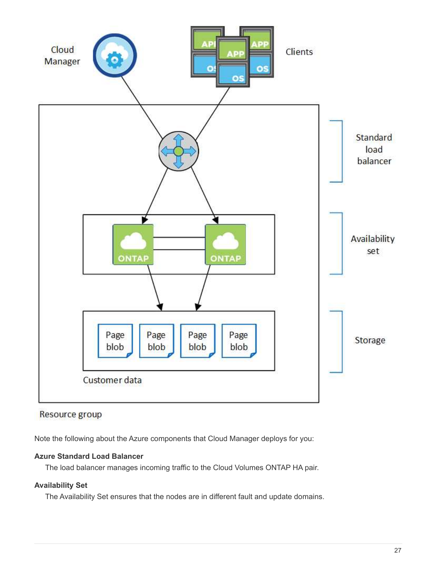

### Resource group

Note the following about the Azure components that Cloud Manager deploys for you:

#### **Azure Standard Load Balancer**

The load balancer manages incoming traffic to the Cloud Volumes ONTAP HA pair.

### **Availability Set**

The Availability Set ensures that the nodes are in different fault and update domains.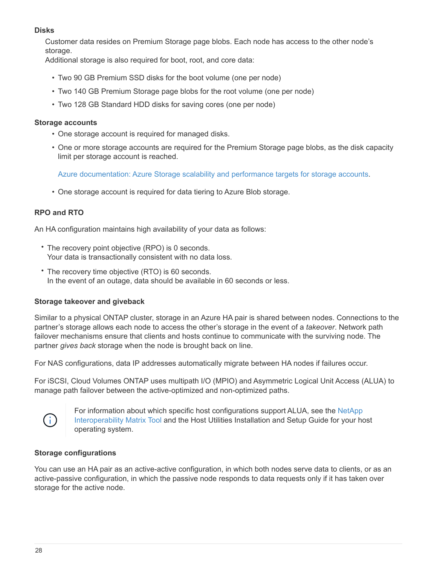#### **Disks**

Customer data resides on Premium Storage page blobs. Each node has access to the other node's storage.

Additional storage is also required for boot, root, and core data:

- Two 90 GB Premium SSD disks for the boot volume (one per node)
- Two 140 GB Premium Storage page blobs for the root volume (one per node)
- Two 128 GB Standard HDD disks for saving cores (one per node)

#### **Storage accounts**

- One storage account is required for managed disks.
- One or more storage accounts are required for the Premium Storage page blobs, as the disk capacity limit per storage account is reached.

[Azure documentation: Azure Storage scalability and performance targets for storage accounts](https://docs.microsoft.com/en-us/azure/storage/common/storage-scalability-targets).

• One storage account is required for data tiering to Azure Blob storage.

#### **RPO and RTO**

An HA configuration maintains high availability of your data as follows:

- The recovery point objective (RPO) is 0 seconds. Your data is transactionally consistent with no data loss.
- The recovery time objective (RTO) is 60 seconds. In the event of an outage, data should be available in 60 seconds or less.

#### **Storage takeover and giveback**

Similar to a physical ONTAP cluster, storage in an Azure HA pair is shared between nodes. Connections to the partner's storage allows each node to access the other's storage in the event of a *takeover*. Network path failover mechanisms ensure that clients and hosts continue to communicate with the surviving node. The partner *gives back* storage when the node is brought back on line.

For NAS configurations, data IP addresses automatically migrate between HA nodes if failures occur.

For iSCSI, Cloud Volumes ONTAP uses multipath I/O (MPIO) and Asymmetric Logical Unit Access (ALUA) to manage path failover between the active-optimized and non-optimized paths.



For information about which specific host configurations support ALUA, see the [NetApp](http://mysupport.netapp.com/matrix) [Interoperability Matrix Tool](http://mysupport.netapp.com/matrix) and the Host Utilities Installation and Setup Guide for your host operating system.

#### **Storage configurations**

You can use an HA pair as an active-active configuration, in which both nodes serve data to clients, or as an active-passive configuration, in which the passive node responds to data requests only if it has taken over storage for the active node.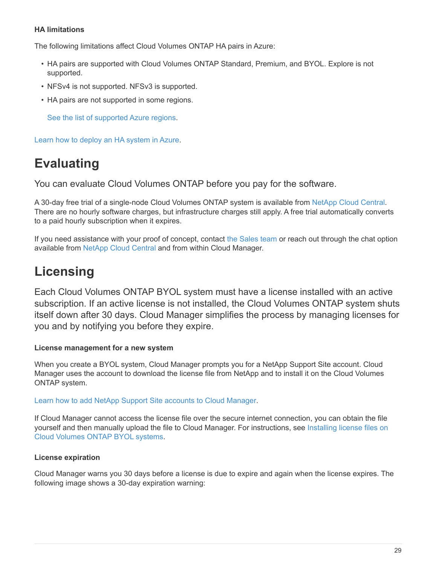#### **HA limitations**

The following limitations affect Cloud Volumes ONTAP HA pairs in Azure:

- HA pairs are supported with Cloud Volumes ONTAP Standard, Premium, and BYOL. Explore is not supported.
- NFSv4 is not supported. NFSv3 is supported.
- HA pairs are not supported in some regions.

[See the list of supported Azure regions](https://cloud.netapp.com/cloud-volumes-global-regions).

[Learn how to deploy an HA system in Azure](https://docs.netapp.com/us-en/occm37/task_deploying_otc_azure.html).

# <span id="page-30-0"></span>**Evaluating**

You can evaluate Cloud Volumes ONTAP before you pay for the software.

A 30-day free trial of a single-node Cloud Volumes ONTAP system is available from [NetApp Cloud Central](https://cloud.netapp.com). There are no hourly software charges, but infrastructure charges still apply. A free trial automatically converts to a paid hourly subscription when it expires.

If you need assistance with your proof of concept, contact [the Sales team](https://cloud.netapp.com/contact-cds) or reach out through the chat option available from [NetApp Cloud Central](https://cloud.netapp.com) and from within Cloud Manager.

# <span id="page-30-1"></span>**Licensing**

Each Cloud Volumes ONTAP BYOL system must have a license installed with an active subscription. If an active license is not installed, the Cloud Volumes ONTAP system shuts itself down after 30 days. Cloud Manager simplifies the process by managing licenses for you and by notifying you before they expire.

#### **License management for a new system**

When you create a BYOL system, Cloud Manager prompts you for a NetApp Support Site account. Cloud Manager uses the account to download the license file from NetApp and to install it on the Cloud Volumes ONTAP system.

#### [Learn how to add NetApp Support Site accounts to Cloud Manager](https://docs.netapp.com/us-en/occm37/task_adding_nss_accounts.html).

If Cloud Manager cannot access the license file over the secure internet connection, you can obtain the file yourself and then manually upload the file to Cloud Manager. For instructions, see [Installing license files on](https://docs.netapp.com/us-en/occm37/task_modifying_ontap_cloud.html#installing-license-files-on-cloud-volumes-ontap-byol-systems) [Cloud Volumes ONTAP BYOL systems.](https://docs.netapp.com/us-en/occm37/task_modifying_ontap_cloud.html#installing-license-files-on-cloud-volumes-ontap-byol-systems)

#### **License expiration**

Cloud Manager warns you 30 days before a license is due to expire and again when the license expires. The following image shows a 30-day expiration warning: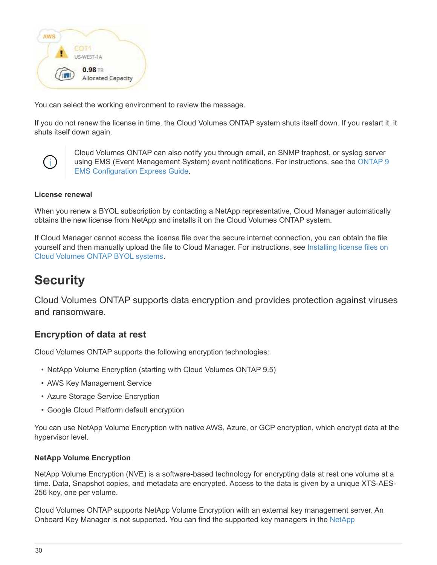

You can select the working environment to review the message.

If you do not renew the license in time, the Cloud Volumes ONTAP system shuts itself down. If you restart it, it shuts itself down again.



Cloud Volumes ONTAP can also notify you through email, an SNMP traphost, or syslog server using EMS (Event Management System) event notifications. For instructions, see the [ONTAP 9](http://docs.netapp.com/ontap-9/topic/com.netapp.doc.exp-ems/home.html) [EMS Configuration Express Guide](http://docs.netapp.com/ontap-9/topic/com.netapp.doc.exp-ems/home.html).

#### **License renewal**

When you renew a BYOL subscription by contacting a NetApp representative, Cloud Manager automatically obtains the new license from NetApp and installs it on the Cloud Volumes ONTAP system.

If Cloud Manager cannot access the license file over the secure internet connection, you can obtain the file yourself and then manually upload the file to Cloud Manager. For instructions, see [Installing license files on](https://docs.netapp.com/us-en/occm37/task_modifying_ontap_cloud.html#installing-license-files-on-cloud-volumes-ontap-byol-systems) [Cloud Volumes ONTAP BYOL systems.](https://docs.netapp.com/us-en/occm37/task_modifying_ontap_cloud.html#installing-license-files-on-cloud-volumes-ontap-byol-systems)

# <span id="page-31-0"></span>**Security**

Cloud Volumes ONTAP supports data encryption and provides protection against viruses and ransomware.

### **Encryption of data at rest**

Cloud Volumes ONTAP supports the following encryption technologies:

- NetApp Volume Encryption (starting with Cloud Volumes ONTAP 9.5)
- AWS Key Management Service
- Azure Storage Service Encryption
- Google Cloud Platform default encryption

You can use NetApp Volume Encryption with native AWS, Azure, or GCP encryption, which encrypt data at the hypervisor level.

#### **NetApp Volume Encryption**

NetApp Volume Encryption (NVE) is a software-based technology for encrypting data at rest one volume at a time. Data, Snapshot copies, and metadata are encrypted. Access to the data is given by a unique XTS-AES-256 key, one per volume.

Cloud Volumes ONTAP supports NetApp Volume Encryption with an external key management server. An Onboard Key Manager is not supported. You can find the supported key managers in the [NetApp](http://mysupport.netapp.com/matrix)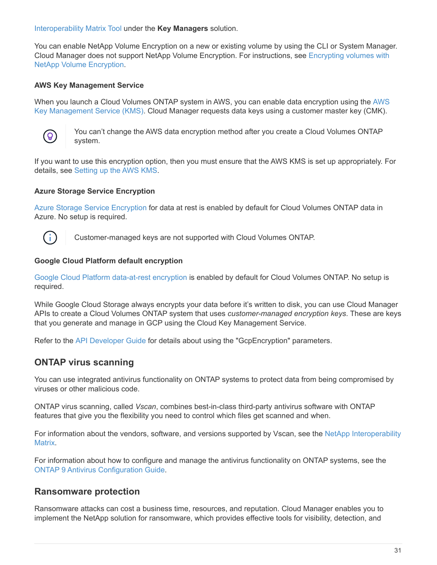[Interoperability Matrix Tool](http://mysupport.netapp.com/matrix) under the **Key Managers** solution.

You can enable NetApp Volume Encryption on a new or existing volume by using the CLI or System Manager. Cloud Manager does not support NetApp Volume Encryption. For instructions, see [Encrypting volumes with](https://docs.netapp.com/us-en/occm37/task_encrypting_volumes.html) [NetApp Volume Encryption.](https://docs.netapp.com/us-en/occm37/task_encrypting_volumes.html)

#### **AWS Key Management Service**

When you launch a Cloud Volumes ONTAP system in AWS, you can enable data encryption using the [AWS](http://docs.aws.amazon.com/kms/latest/developerguide/overview.html) [Key Management Service \(KMS\)](http://docs.aws.amazon.com/kms/latest/developerguide/overview.html). Cloud Manager requests data keys using a customer master key (CMK).



You can't change the AWS data encryption method after you create a Cloud Volumes ONTAP system.

If you want to use this encryption option, then you must ensure that the AWS KMS is set up appropriately. For details, see [Setting up the AWS KMS](https://docs.netapp.com/us-en/occm37/task_setting_up_kms.html).

#### **Azure Storage Service Encryption**

[Azure Storage Service Encryption](https://azure.microsoft.com/en-us/documentation/articles/storage-service-encryption/) for data at rest is enabled by default for Cloud Volumes ONTAP data in Azure. No setup is required.



Customer-managed keys are not supported with Cloud Volumes ONTAP.

#### **Google Cloud Platform default encryption**

[Google Cloud Platform data-at-rest encryption](https://cloud.google.com/security/encryption-at-rest/) is enabled by default for Cloud Volumes ONTAP. No setup is required.

While Google Cloud Storage always encrypts your data before it's written to disk, you can use Cloud Manager APIs to create a Cloud Volumes ONTAP system that uses *customer-managed encryption keys*. These are keys that you generate and manage in GCP using the Cloud Key Management Service.

Refer to the [API Developer Guide](https://docs.netapp.com/us-en/occm37/api.html#_creating_systems_in_gcp) for details about using the "GcpEncryption" parameters.

#### **ONTAP virus scanning**

You can use integrated antivirus functionality on ONTAP systems to protect data from being compromised by viruses or other malicious code.

ONTAP virus scanning, called *Vscan*, combines best-in-class third-party antivirus software with ONTAP features that give you the flexibility you need to control which files get scanned and when.

For information about the vendors, software, and versions supported by Vscan, see the [NetApp Interoperability](http://mysupport.netapp.com/matrix) [Matrix.](http://mysupport.netapp.com/matrix)

For information about how to configure and manage the antivirus functionality on ONTAP systems, see the [ONTAP 9 Antivirus Configuration Guide.](http://docs.netapp.com/ontap-9/topic/com.netapp.doc.dot-cm-acg/home.html)

#### **Ransomware protection**

Ransomware attacks can cost a business time, resources, and reputation. Cloud Manager enables you to implement the NetApp solution for ransomware, which provides effective tools for visibility, detection, and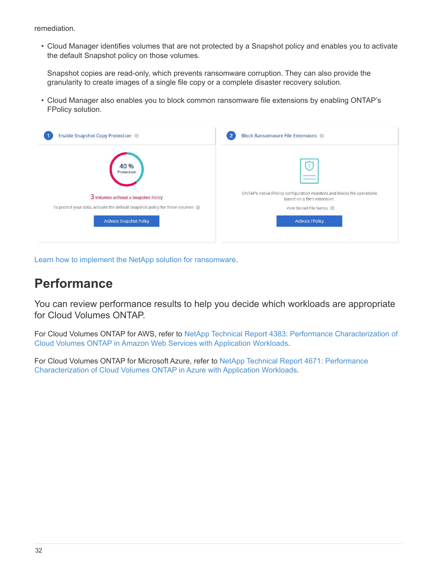remediation.

• Cloud Manager identifies volumes that are not protected by a Snapshot policy and enables you to activate the default Snapshot policy on those volumes.

Snapshot copies are read-only, which prevents ransomware corruption. They can also provide the granularity to create images of a single file copy or a complete disaster recovery solution.

• Cloud Manager also enables you to block common ransomware file extensions by enabling ONTAP's FPolicy solution.

| <b>Enable Snapshot Copy Protection</b>                                                                          | <b>Block Ransomware File Extensions @</b><br>$\overline{2}$                                              |
|-----------------------------------------------------------------------------------------------------------------|----------------------------------------------------------------------------------------------------------|
| 40 %<br>Protection                                                                                              | $\equiv$                                                                                                 |
| 3 Volumes without a Snapshot Policy                                                                             | ONTAP's native FPolicy configuration monitors and blocks file operations<br>based on a file's extension. |
| To protect your data, activate the default Snapshot policy for these volumes<br><b>Activate Snapshot Policy</b> | View Denied File Names<br><b>Activate FPolicy</b>                                                        |
|                                                                                                                 |                                                                                                          |

[Learn how to implement the NetApp solution for ransomware.](https://docs.netapp.com/us-en/occm37/task_protecting_ransomware.html)

## <span id="page-33-0"></span>**Performance**

You can review performance results to help you decide which workloads are appropriate for Cloud Volumes ONTAP.

For Cloud Volumes ONTAP for AWS, refer to [NetApp Technical Report 4383: Performance Characterization of](https://www.netapp.com/us/media/tr-4383.pdf) [Cloud Volumes ONTAP in Amazon Web Services with Application Workloads.](https://www.netapp.com/us/media/tr-4383.pdf)

For Cloud Volumes ONTAP for Microsoft Azure, refer to [NetApp Technical Report 4671: Performance](https://www.netapp.com/us/media/tr-4671.pdf) [Characterization of Cloud Volumes ONTAP in Azure with Application Workloads](https://www.netapp.com/us/media/tr-4671.pdf).